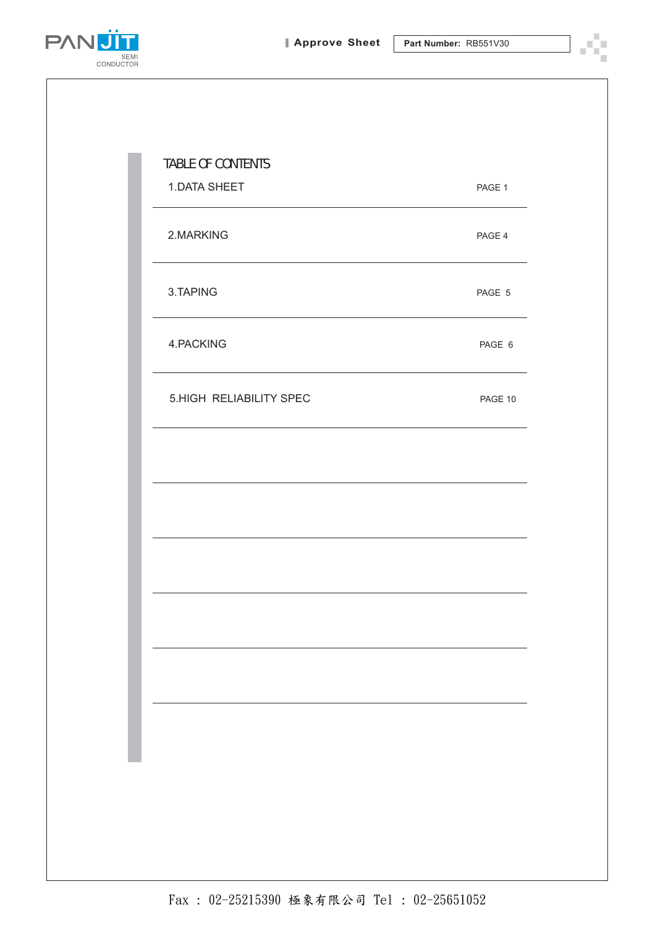

æ U.



| <b>1.DATA SHEET</b>     | PAGE 1  |
|-------------------------|---------|
| 2.MARKING               | PAGE 4  |
| 3.TAPING                | PAGE 5  |
| 4.PACKING               | PAGE 6  |
| 5.HIGH RELIABILITY SPEC | PAGE 10 |
|                         |         |
|                         |         |
|                         |         |
|                         |         |
|                         |         |
|                         |         |
|                         |         |
|                         |         |

Fax : 02-25215390 極象有限公司 Tel : 02-25651052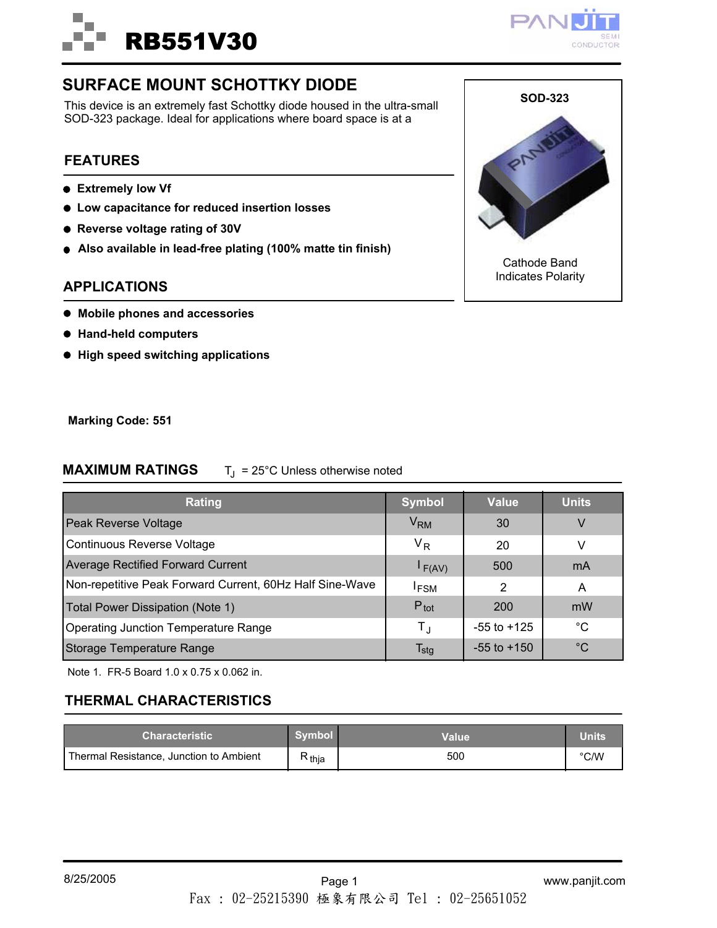### **SURFACE MOUNT SCHOTTKY DIODE**

RB551V30

This device is an extremely fast Schottky diode housed in the ultra-small SOD-323 package. Ideal for applications where board space is at a

#### **FEATURES**

- **Extremely low Vf**
- **Low capacitance for reduced insertion losses**
- **Reverse voltage rating of 30V**
- **Also available in lead-free plating (100% matte tin finish)**

#### **APPLICATIONS**

- **Mobile phones and accessories**
- **Hand-held computers**
- **High speed switching applications**

**Marking Code: 551**

#### **MAXIMUM RATINGS**  ${\sf T}_{\sf J}\,$  = 25°C Unless otherwise noted

| <b>Rating</b>                                            | <b>Symbol</b>    | <b>Value</b>    | <b>Units</b> |
|----------------------------------------------------------|------------------|-----------------|--------------|
| Peak Reverse Voltage                                     | V <sub>RM</sub>  | 30              | V            |
| Continuous Reverse Voltage                               | $V_R$            | 20              | v            |
| <b>Average Rectified Forward Current</b>                 | F(AV)            | 500             | <b>mA</b>    |
| Non-repetitive Peak Forward Current, 60Hz Half Sine-Wave | <b>IFSM</b>      | 2               | A            |
| Total Power Dissipation (Note 1)                         | $P_{\text{tot}}$ | 200             | mW           |
| Operating Junction Temperature Range                     | $T_{\rm J}$      | $-55$ to $+125$ | $^{\circ}C$  |
| Storage Temperature Range                                | $T_{\rm stg}$    | $-55$ to $+150$ | $^{\circ}$ C |

Note 1. FR-5 Board 1.0 x 0.75 x 0.062 in.

### **THERMAL CHARACTERISTICS**

| <b>Characteristic \</b>                              | <b>Symbol</b> | Value | <b>Units</b>  |
|------------------------------------------------------|---------------|-------|---------------|
| <sup>1</sup> Thermal Resistance, Junction to Ambient | ≺ thja        | 500   | $\degree$ C/W |





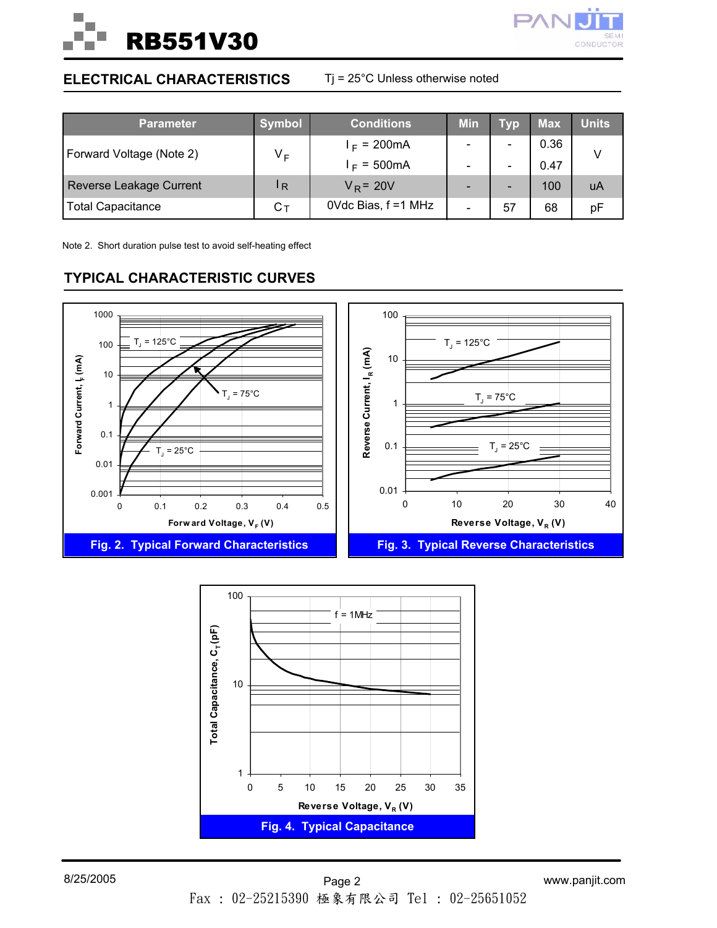



#### **ELECTRICAL CHARACTERISTICS**

#### Tj = 25°C Unless otherwise noted

| <b>Parameter</b>         | <b>Symbol</b> | <b>Conditions</b>    | <b>Min</b> | <b>Typ</b>                   | <b>Max</b> | <b>Units</b> |
|--------------------------|---------------|----------------------|------------|------------------------------|------------|--------------|
| Forward Voltage (Note 2) | $V_F$         | $I_F = 200mA$        |            | $\qquad \qquad \blacksquare$ | 0.36       |              |
|                          |               | $I_F = 500mA$        |            | $\qquad \qquad \blacksquare$ | 0.47       |              |
| Reverse Leakage Current  | $\mathsf{R}$  | $V_R$ = 20V          |            | $\overline{\phantom{0}}$     | 100        | uA           |
| <b>Total Capacitance</b> | Ст            | 0Vdc Bias, f = 1 MHz |            | 57                           | 68         | рF           |

Note 2. Short duration pulse test to avoid self-heating effect



#### **TYPICAL CHARACTERISTIC CURVES**

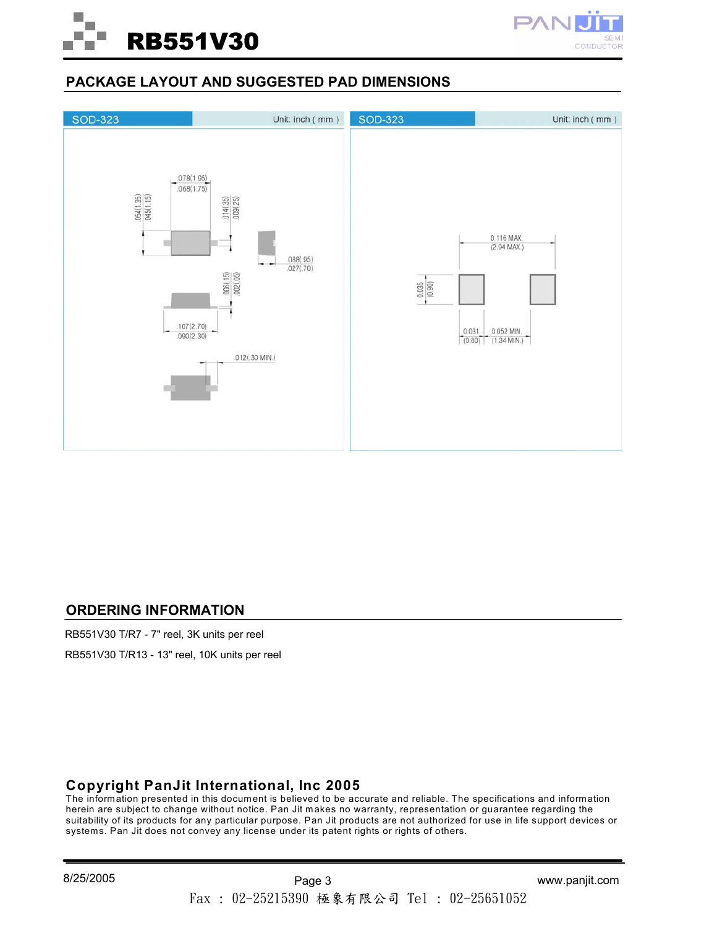



#### **PACKAGE LAYOUT AND SUGGESTED PAD DIMENSIONS**



#### **ORDERING INFORMATION**

RB551V30 T/R7 - 7" reel, 3K units per reel RB551V30 T/R13 - 13" reel, 10K units per reel

#### **Copyright PanJit International, Inc 2005**

The information presented in this document is believed to be accurate and reliable. The specifications and information herein are subject to change without notice. Pan Jit makes no warranty, representation or guarantee regarding the suitability of its products for any particular purpose. Pan Jit products are not authorized for use in life support devices or systems. Pan Jit does not convey any license under its patent rights or rights of others.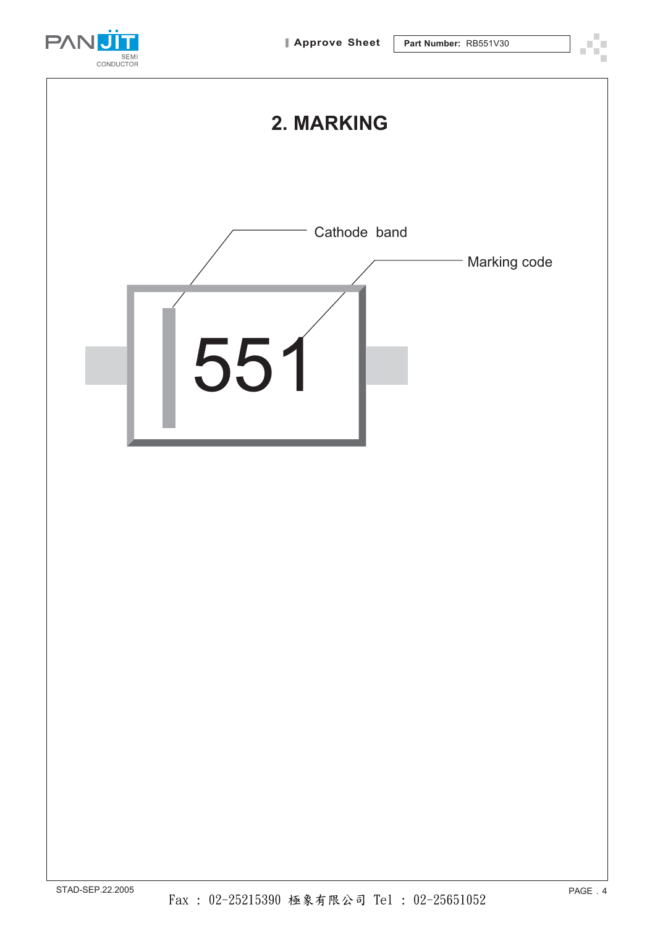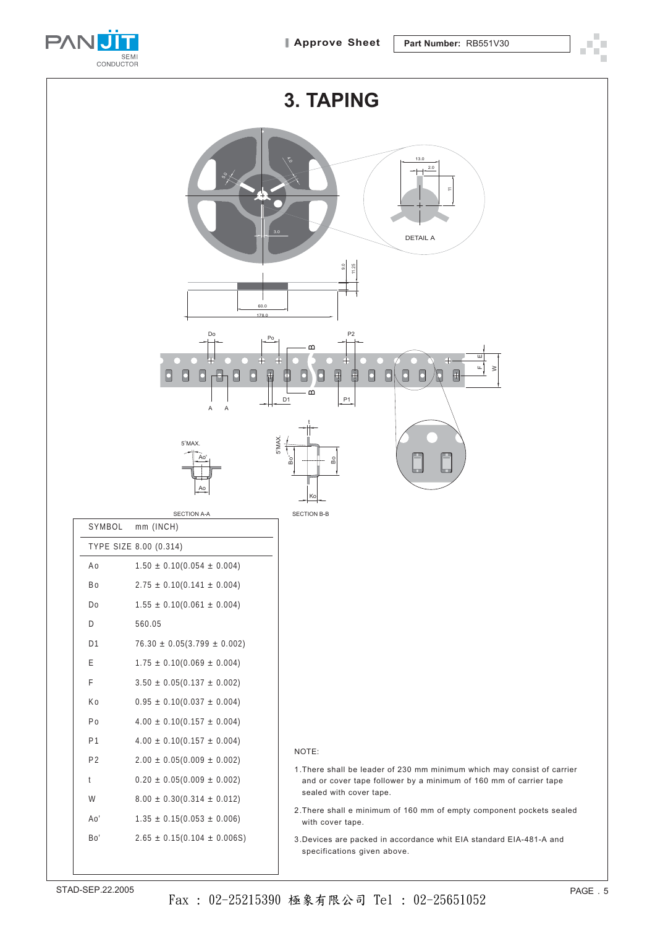

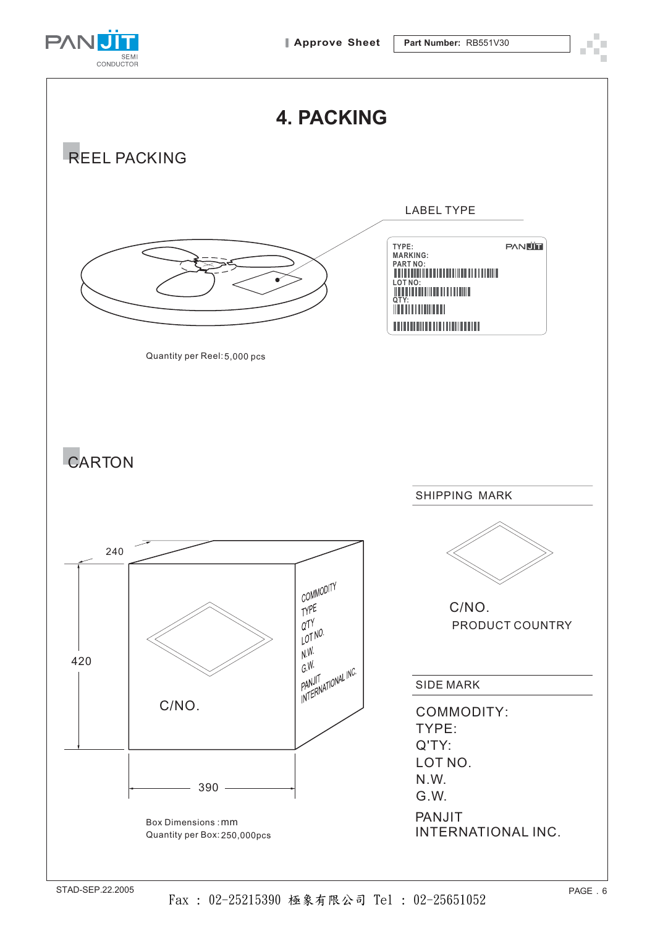

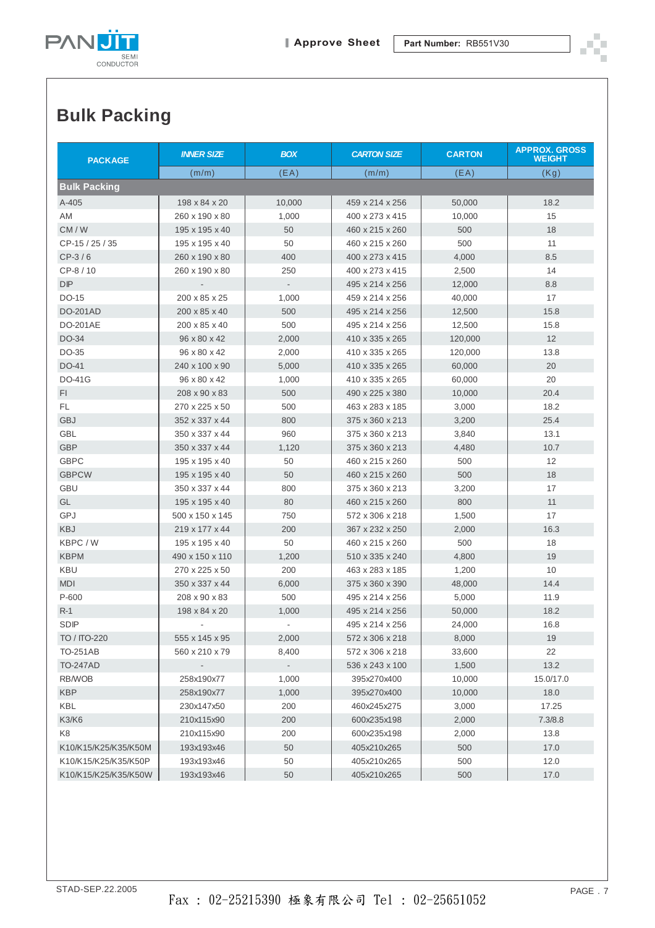

л 

### **Bulk Packing**

| <b>PACKAGE</b>       | <b>INNER SIZE</b> | <b>BOX</b>               | <b>CARTON SIZE</b> | <b>CARTON</b> | <b>APPROX. GROSS</b><br><b>WEIGHT</b> |
|----------------------|-------------------|--------------------------|--------------------|---------------|---------------------------------------|
|                      | (m/m)             | (EA)                     | (m/m)              | (EA)          | (Kg)                                  |
| <b>Bulk Packing</b>  |                   |                          |                    |               |                                       |
| $A - 405$            | 198 x 84 x 20     | 10,000                   | 459 x 214 x 256    | 50,000        | 18.2                                  |
| AM                   | 260 x 190 x 80    | 1,000                    | 400 x 273 x 415    | 10,000        | 15                                    |
| CM/W                 | 195 x 195 x 40    | 50                       | 460 x 215 x 260    | 500           | 18                                    |
| CP-15 / 25 / 35      | 195 x 195 x 40    | 50                       | 460 x 215 x 260    | 500           | 11                                    |
| $CP-3/6$             | 260 x 190 x 80    | 400                      | 400 x 273 x 415    | 4,000         | 8.5                                   |
| $CP-8/10$            | 260 x 190 x 80    | 250                      | 400 x 273 x 415    | 2,500         | 14                                    |
| <b>DIP</b>           |                   |                          | 495 x 214 x 256    | 12,000        | 8.8                                   |
| DO-15                | 200 x 85 x 25     | 1,000                    | 459 x 214 x 256    | 40,000        | 17                                    |
| <b>DO-201AD</b>      | 200 x 85 x 40     | 500                      | 495 x 214 x 256    | 12,500        | 15.8                                  |
| <b>DO-201AE</b>      | 200 x 85 x 40     | 500                      | 495 x 214 x 256    | 12,500        | 15.8                                  |
| DO-34                | 96 x 80 x 42      | 2,000                    | 410 x 335 x 265    | 120,000       | 12                                    |
| DO-35                | 96 x 80 x 42      | 2,000                    | 410 x 335 x 265    | 120,000       | 13.8                                  |
| DO-41                | 240 x 100 x 90    | 5,000                    | 410 x 335 x 265    | 60,000        | 20                                    |
| <b>DO-41G</b>        | 96 x 80 x 42      | 1,000                    | 410 x 335 x 265    | 60,000        | 20                                    |
| FI.                  | 208 x 90 x 83     | 500                      | 490 x 225 x 380    | 10,000        | 20.4                                  |
| FL.                  | 270 x 225 x 50    | 500                      | 463 x 283 x 185    | 3,000         | 18.2                                  |
| <b>GBJ</b>           | 352 x 337 x 44    | 800                      | 375 x 360 x 213    | 3,200         | 25.4                                  |
| <b>GBL</b>           | 350 x 337 x 44    | 960                      | 375 x 360 x 213    | 3,840         | 13.1                                  |
| <b>GBP</b>           | 350 x 337 x 44    | 1,120                    | 375 x 360 x 213    | 4,480         | 10.7                                  |
| <b>GBPC</b>          | 195 x 195 x 40    | 50                       | 460 x 215 x 260    | 500           | 12                                    |
| <b>GBPCW</b>         | 195 x 195 x 40    | 50                       | 460 x 215 x 260    | 500           | 18                                    |
| <b>GBU</b>           | 350 x 337 x 44    | 800                      | 375 x 360 x 213    | 3,200         | 17                                    |
| GL                   | 195 x 195 x 40    | 80                       | 460 x 215 x 260    | 800           | 11                                    |
| GPJ                  | 500 x 150 x 145   | 750                      | 572 x 306 x 218    | 1,500         | 17                                    |
| <b>KBJ</b>           | 219 x 177 x 44    | 200                      | 367 x 232 x 250    | 2,000         | 16.3                                  |
| KBPC / W             | 195 x 195 x 40    | 50                       | 460 x 215 x 260    | 500           | 18                                    |
| <b>KBPM</b>          | 490 x 150 x 110   | 1,200                    | 510 x 335 x 240    | 4,800         | 19                                    |
| KBU                  | 270 x 225 x 50    | 200                      | 463 x 283 x 185    | 1,200         | 10                                    |
| <b>MDI</b>           | 350 x 337 x 44    | 6,000                    | 375 x 360 x 390    | 48,000        | 14.4                                  |
| P-600                | 208 x 90 x 83     | 500                      | 495 x 214 x 256    | 5,000         | 11.9                                  |
| $R-1$                | 198 x 84 x 20     | 1,000                    | 495 x 214 x 256    | 50,000        | 18.2                                  |
| <b>SDIP</b>          |                   |                          | 495 x 214 x 256    | 24,000        | 16.8                                  |
| TO / ITO-220         | 555 x 145 x 95    | 2,000                    | 572 x 306 x 218    | 8,000         | 19                                    |
| <b>TO-251AB</b>      | 560 x 210 x 79    | 8,400                    | 572 x 306 x 218    | 33,600        | 22                                    |
| <b>TO-247AD</b>      |                   | $\overline{\phantom{a}}$ | 536 x 243 x 100    | 1,500         | 13.2                                  |
| RB/WOB               | 258x190x77        | 1,000                    | 395x270x400        | 10,000        | 15.0/17.0                             |
| <b>KBP</b>           | 258x190x77        | 1,000                    | 395x270x400        | 10,000        | 18.0                                  |
| KBL                  | 230x147x50        | 200                      | 460x245x275        | 3,000         | 17.25                                 |
| K3/K6                | 210x115x90        | 200                      | 600x235x198        | 2,000         | 7.3/8.8                               |
| K8                   | 210x115x90        | 200                      | 600x235x198        | 2,000         | 13.8                                  |
| K10/K15/K25/K35/K50M | 193x193x46        | 50                       | 405x210x265        | 500           | 17.0                                  |
| K10/K15/K25/K35/K50P | 193x193x46        | 50                       | 405x210x265        | 500           | 12.0                                  |
| K10/K15/K25/K35/K50W | 193x193x46        | 50                       | 405x210x265        | 500           | 17.0                                  |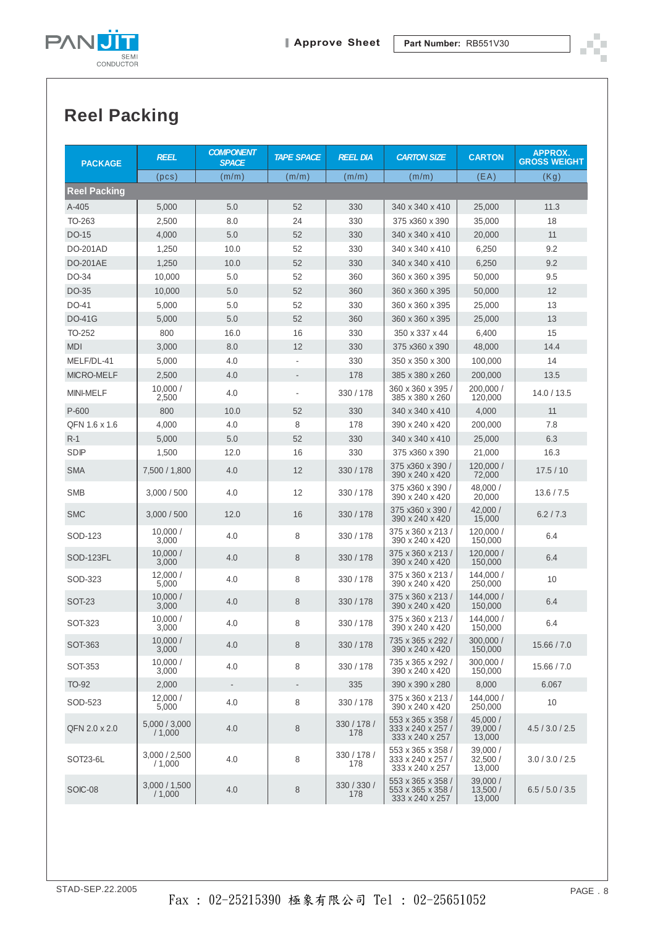

٠

### **Reel Packing**

| <b>PACKAGE</b>      | <b>REEL</b>              | <b>COMPONENT</b><br><b>SPACE</b> | <b>TAPE SPACE</b>        | <b>REEL DIA</b>    | <b>CARTON SIZE</b>                                        | <b>CARTON</b>                  | <b>APPROX.</b><br><b>GROSS WEIGHT</b> |
|---------------------|--------------------------|----------------------------------|--------------------------|--------------------|-----------------------------------------------------------|--------------------------------|---------------------------------------|
|                     | (pcs)                    | (m/m)                            | (m/m)                    | (m/m)              | (m/m)                                                     | (EA)                           | (Kg)                                  |
| <b>Reel Packing</b> |                          |                                  |                          |                    |                                                           |                                |                                       |
| A-405               | 5,000                    | 5.0                              | 52                       | 330                | 340 x 340 x 410                                           | 25,000                         | 11.3                                  |
| TO-263              | 2,500                    | 8.0                              | 24                       | 330                | 375 x360 x 390                                            | 35,000                         | 18                                    |
| DO-15               | 4,000                    | 5.0                              | 52                       | 330                | 340 x 340 x 410                                           | 20,000                         | 11                                    |
| <b>DO-201AD</b>     | 1,250                    | 10.0                             | 52                       | 330                | 340 x 340 x 410                                           | 6,250                          | 9.2                                   |
| <b>DO-201AE</b>     | 1,250                    | 10.0                             | 52                       | 330                | 340 x 340 x 410                                           | 6,250                          | 9.2                                   |
| DO-34               | 10,000                   | 5.0                              | 52                       | 360                | 360 x 360 x 395                                           | 50,000                         | 9.5                                   |
| DO-35               | 10,000                   | 5.0                              | 52                       | 360                | 360 x 360 x 395                                           | 50,000                         | 12                                    |
| DO-41               | 5,000                    | 5.0                              | 52                       | 330                | 360 x 360 x 395                                           | 25,000                         | 13                                    |
| <b>DO-41G</b>       | 5,000                    | 5.0                              | 52                       | 360                | 360 x 360 x 395                                           | 25,000                         | 13                                    |
| TO-252              | 800                      | 16.0                             | 16                       | 330                | 350 x 337 x 44                                            | 6,400                          | 15                                    |
| <b>MDI</b>          | 3,000                    | 8.0                              | 12                       | 330                | 375 x360 x 390                                            | 48,000                         | 14.4                                  |
| MELF/DL-41          | 5,000                    | 4.0                              |                          | 330                | 350 x 350 x 300                                           | 100,000                        | 14                                    |
| MICRO-MELF          | 2,500                    | 4.0                              | $\overline{\phantom{a}}$ | 178                | 385 x 380 x 260                                           | 200,000                        | 13.5                                  |
| <b>MINI-MELF</b>    | 10,000/<br>2,500         | 4.0                              | $\overline{\phantom{a}}$ | 330 / 178          | 360 x 360 x 395 /<br>385 x 380 x 260                      | 200,000 /<br>120,000           | 14.0 / 13.5                           |
| P-600               | 800                      | 10.0                             | 52                       | 330                | 340 x 340 x 410                                           | 4,000                          | 11                                    |
| QFN 1.6 x 1.6       | 4,000                    | 4.0                              | 8                        | 178                | 390 x 240 x 420                                           | 200,000                        | 7.8                                   |
| $R-1$               | 5,000                    | 5.0                              | 52                       | 330                | 340 x 340 x 410                                           | 25,000                         | 6.3                                   |
| <b>SDIP</b>         | 1,500                    | 12.0                             | 16                       | 330                | 375 x360 x 390                                            | 21,000                         | 16.3                                  |
| <b>SMA</b>          | 7,500 / 1,800            | 4.0                              | 12                       | 330 / 178          | 375 x360 x 390 /<br>390 x 240 x 420                       | 120,000 /<br>72,000            | 17.5/10                               |
| <b>SMB</b>          | 3,000 / 500              | 4.0                              | 12                       | 330 / 178          | 375 x360 x 390 /<br>390 x 240 x 420                       | 48,000 /<br>20,000             | 13.6 / 7.5                            |
| <b>SMC</b>          | 3,000 / 500              | 12.0                             | 16                       | 330 / 178          | 375 x360 x 390 /<br>390 x 240 x 420                       | 42,000 /<br>15,000             | 6.2 / 7.3                             |
| SOD-123             | 10,000/<br>3,000         | 4.0                              | 8                        | 330/178            | 375 x 360 x 213 /<br>390 x 240 x 420                      | 120,000 /<br>150,000           | 6.4                                   |
| SOD-123FL           | 10.000 /<br>3,000        | 4.0                              | 8                        | 330 / 178          | 375 x 360 x 213 /<br>390 x 240 x 420                      | 120,000 /<br>150,000           | 6.4                                   |
| SOD-323             | 12,000/<br>5,000         | 4.0                              | 8                        | 330/178            | 375 x 360 x 213 /<br>390 x 240 x 420                      | 144.000 /<br>250,000           | 10                                    |
| <b>SOT-23</b>       | 10,000/<br>3,000         | 4.0                              | 8                        | 330 / 178          | 375 x 360 x 213 /<br>390 x 240 x 420                      | 144,000 /<br>150,000           | 6.4                                   |
| SOT-323             | 10,000/<br>3,000         | 4.0                              | 8                        | 330 / 178          | 375 x 360 x 213 /<br>390 x 240 x 420                      | 144.000 /<br>150,000           | 6.4                                   |
| SOT-363             | 10,000/<br>3,000         | 4.0                              | 8                        | 330/178            | 735 x 365 x 292 /<br>390 x 240 x 420                      | 300,000 /<br>150,000           | 15.66 / 7.0                           |
| SOT-353             | 10,000/<br>3,000         | 4.0                              | 8                        | 330 / 178          | 735 x 365 x 292 /<br>390 x 240 x 420                      | 300.000 /<br>150,000           | 15.66 / 7.0                           |
| TO-92               | 2,000                    | $\blacksquare$                   | $\overline{\phantom{a}}$ | 335                | 390 x 390 x 280                                           | 8,000                          | 6.067                                 |
| SOD-523             | 12,000/<br>5.000         | 4.0                              | 8                        | 330/178            | 375 x 360 x 213 /<br>390 x 240 x 420                      | 144,000 /<br>250,000           | 10 <sup>°</sup>                       |
| QFN 2.0 x 2.0       | 5,000 / 3,000<br>/ 1,000 | 4.0                              | 8                        | 330 / 178 /<br>178 | 553 x 365 x 358 /<br>333 x 240 x 257 /<br>333 x 240 x 257 | 45,000 /<br>39,000 /<br>13,000 | 4.5/3.0/2.5                           |
| SOT23-6L            | 3,000 / 2,500<br>/ 1,000 | 4.0                              | 8                        | 330 / 178 /<br>178 | 553 x 365 x 358 /<br>333 x 240 x 257 /<br>333 x 240 x 257 | 39,000 /<br>32,500 /<br>13,000 | 3.0 / 3.0 / 2.5                       |
| SOIC-08             | 3,000 / 1,500<br>/1,000  | 4.0                              | 8                        | 330 / 330 /<br>178 | 553 x 365 x 358 /<br>553 x 365 x 358 /<br>333 x 240 x 257 | 39,000 /<br>13,500 /<br>13,000 | 6.5/5.0/3.5                           |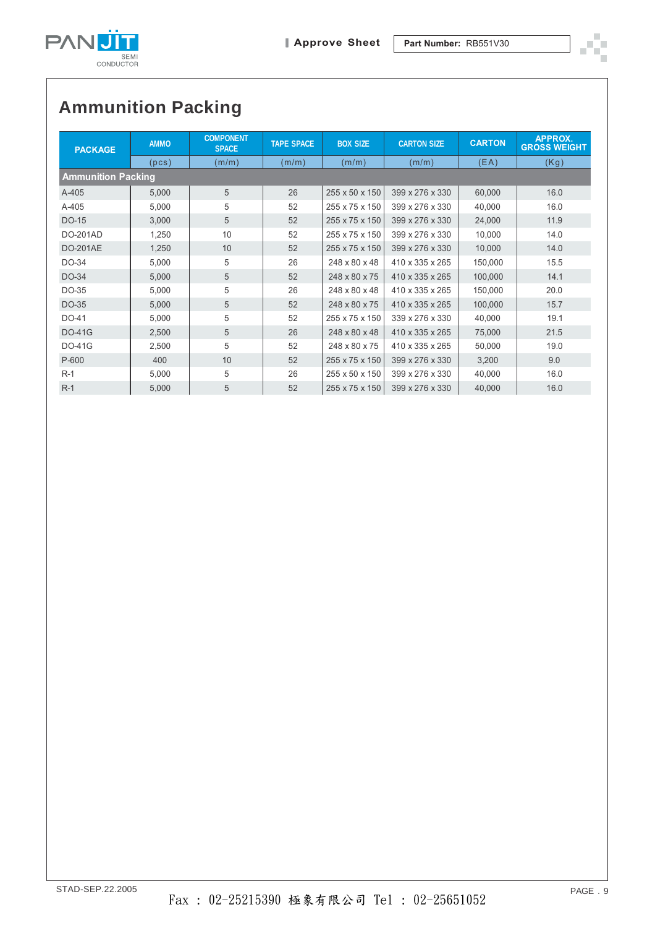

## **Ammunition Packing**

| <b>PACKAGE</b>            | <b>AMMO</b> | <b>COMPONENT</b><br><b>SPACE</b> | <b>TAPE SPACE</b> | <b>BOX SIZE</b> | <b>CARTON SIZE</b> | <b>CARTON</b> | <b>APPROX.</b><br><b>GROSS WEIGHT</b> |  |
|---------------------------|-------------|----------------------------------|-------------------|-----------------|--------------------|---------------|---------------------------------------|--|
|                           | (pcs)       | (m/m)                            | (m/m)             | (m/m)           | (m/m)              | (EA)          | (Kg)                                  |  |
| <b>Ammunition Packing</b> |             |                                  |                   |                 |                    |               |                                       |  |
| $A-405$                   | 5,000       | 5                                | 26                | 255 x 50 x 150  | 399 x 276 x 330    | 60,000        | 16.0                                  |  |
| A-405                     | 5,000       | 5                                | 52                | 255 x 75 x 150  | 399 x 276 x 330    | 40,000        | 16.0                                  |  |
| DO-15                     | 3,000       | 5                                | 52                | 255 x 75 x 150  | 399 x 276 x 330    | 24,000        | 11.9                                  |  |
| <b>DO-201AD</b>           | 1,250       | 10                               | 52                | 255 x 75 x 150  | 399 x 276 x 330    | 10,000        | 14.0                                  |  |
| <b>DO-201AE</b>           | 1,250       | 10                               | 52                | 255 x 75 x 150  | 399 x 276 x 330    | 10,000        | 14.0                                  |  |
| DO-34                     | 5,000       | 5                                | 26                | 248 x 80 x 48   | 410 x 335 x 265    | 150,000       | 15.5                                  |  |
| DO-34                     | 5,000       | 5                                | 52                | 248 x 80 x 75   | 410 x 335 x 265    | 100,000       | 14.1                                  |  |
| DO-35                     | 5,000       | 5                                | 26                | 248 x 80 x 48   | 410 x 335 x 265    | 150,000       | 20.0                                  |  |
| DO-35                     | 5,000       | 5                                | 52                | 248 x 80 x 75   | 410 x 335 x 265    | 100,000       | 15.7                                  |  |
| DO-41                     | 5,000       | 5                                | 52                | 255 x 75 x 150  | 339 x 276 x 330    | 40,000        | 19.1                                  |  |
| <b>DO-41G</b>             | 2,500       | 5                                | 26                | 248 x 80 x 48   | 410 x 335 x 265    | 75,000        | 21.5                                  |  |
| <b>DO-41G</b>             | 2,500       | 5                                | 52                | 248 x 80 x 75   | 410 x 335 x 265    | 50,000        | 19.0                                  |  |
| P-600                     | 400         | 10                               | 52                | 255 x 75 x 150  | 399 x 276 x 330    | 3,200         | 9.0                                   |  |
| $R-1$                     | 5,000       | 5                                | 26                | 255 x 50 x 150  | 399 x 276 x 330    | 40,000        | 16.0                                  |  |
| $R-1$                     | 5,000       | 5                                | 52                | 255 x 75 x 150  | 399 x 276 x 330    | 40,000        | 16.0                                  |  |